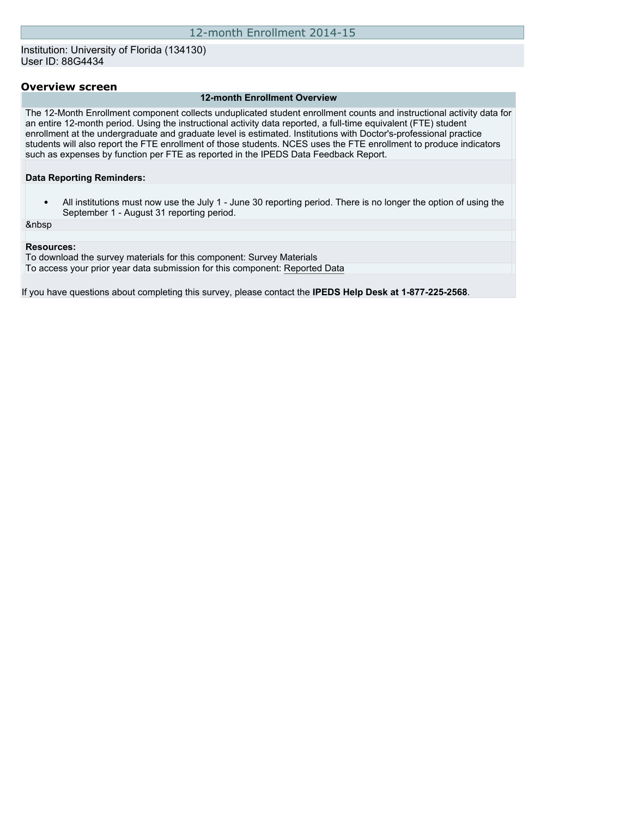## Institution: University of Florida (134130) User ID: 88G4434

#### **Overview screen**

#### **12-month Enrollment Overview**

The 12-Month Enrollment component collects unduplicated student enrollment counts and instructional activity data for an entire 12-month period. Using the instructional activity data reported, a full-time equivalent (FTE) student enrollment at the undergraduate and graduate level is estimated. Institutions with Doctor's-professional practice students will also report the FTE enrollment of those students. NCES uses the FTE enrollment to produce indicators such as expenses by function per FTE as reported in the IPEDS Data Feedback Report.

**Data Reporting Reminders:**

• All institutions must now use the July 1 - June 30 reporting period. There is no longer the option of using the September 1 - August 31 reporting period.

&nbsp

#### **Resources:**

To download the survey materials for this component: [Survey Materials](https://surveys.nces.ed.gov/ipeds/VisIndex.aspx) To access your prior year data submission for this component: [Reported Data](https://surveys.nces.ed.gov/IPEDS/PriorYearDataRedirect.aspx?survey_id=9)

If you have questions about completing this survey, please contact the **IPEDS Help Desk at 1-877-225-2568**.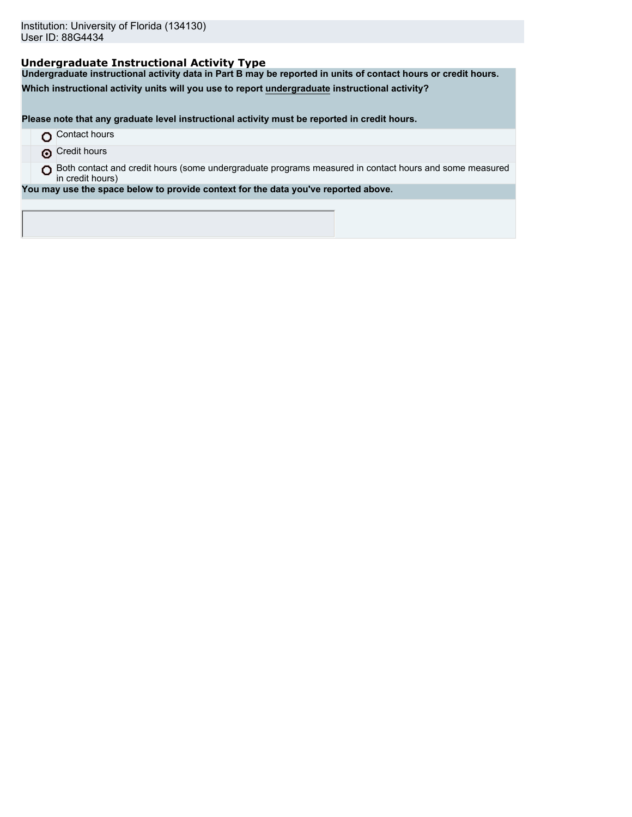# **Undergraduate Instructional Activity Type**

**Undergraduate instructional activity data in Part B may be reported in units of contact hours or credit hours.**

**Which instructional activity units will you use to report undergraduate instructional activity?**

**Please note that any graduate level instructional activity must be reported in credit hours.**

- **O** Contact hours
- **O** Credit hours

O Both contact and credit hours (some undergraduate programs measured in contact hours and some measured in credit hours)

**You may use the space below to provide context for the data you've reported above.**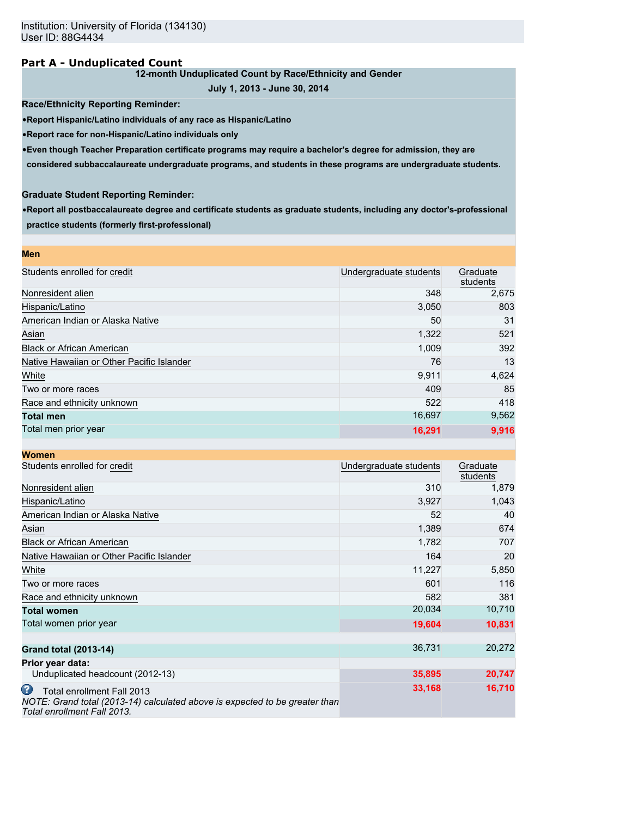## **Part A - Unduplicated Count**

## **12-month Unduplicated Count by Race/Ethnicity and Gender**

```
July 1, 2013 - June 30, 2014
```
**Race/Ethnicity Reporting Reminder:**

•**Report Hispanic/Latino individuals of any race as Hispanic/Latino**

•**Report race for non-Hispanic/Latino individuals only**

•**Even though Teacher Preparation certificate programs may require a bachelor's degree for admission, they are**

**considered subbaccalaureate undergraduate programs, and students in these programs are undergraduate students.**

## **Graduate Student Reporting Reminder:**

•**Report all postbaccalaureate degree and certificate students as graduate students, including any doctor's-professional practice students (formerly first-professional)**

| <b>Men</b>                                |                        |                      |
|-------------------------------------------|------------------------|----------------------|
| Students enrolled for credit              | Undergraduate students | Graduate<br>students |
| Nonresident alien                         | 348                    | 2,675                |
| Hispanic/Latino                           | 3,050                  | 803                  |
| American Indian or Alaska Native          | 50                     | 31                   |
| Asian                                     | 1,322                  | 521                  |
| <b>Black or African American</b>          | 1,009                  | 392                  |
| Native Hawaiian or Other Pacific Islander | 76                     | 13                   |
| White                                     | 9,911                  | 4,624                |
| Two or more races                         | 409                    | 85                   |
| Race and ethnicity unknown                | 522                    | 418                  |
| <b>Total men</b>                          | 16,697                 | 9,562                |
| Total men prior year                      | 16,291                 | 9,916                |

| <b>Women</b>                                                                                                                                  |                        |                      |
|-----------------------------------------------------------------------------------------------------------------------------------------------|------------------------|----------------------|
| Students enrolled for credit                                                                                                                  | Undergraduate students | Graduate<br>students |
| Nonresident alien                                                                                                                             | 310                    | 1,879                |
| Hispanic/Latino                                                                                                                               | 3,927                  | 1,043                |
| American Indian or Alaska Native                                                                                                              | 52                     | 40                   |
| Asian                                                                                                                                         | 1,389                  | 674                  |
| <b>Black or African American</b>                                                                                                              | 1,782                  | 707                  |
| Native Hawaiian or Other Pacific Islander                                                                                                     | 164                    | 20                   |
| White                                                                                                                                         | 11,227                 | 5,850                |
| Two or more races                                                                                                                             | 601                    | 116                  |
| Race and ethnicity unknown                                                                                                                    | 582                    | 381                  |
| <b>Total women</b>                                                                                                                            | 20,034                 | 10,710               |
| Total women prior year                                                                                                                        | 19,604                 | 10,831               |
| <b>Grand total (2013-14)</b>                                                                                                                  | 36,731                 | 20,272               |
| Prior year data:                                                                                                                              |                        |                      |
| Unduplicated headcount (2012-13)                                                                                                              | 35,895                 | 20,747               |
| ω<br>Total enrollment Fall 2013<br>NOTE: Grand total (2013-14) calculated above is expected to be greater than<br>Total enrollment Fall 2013. | 33,168                 | 16,710               |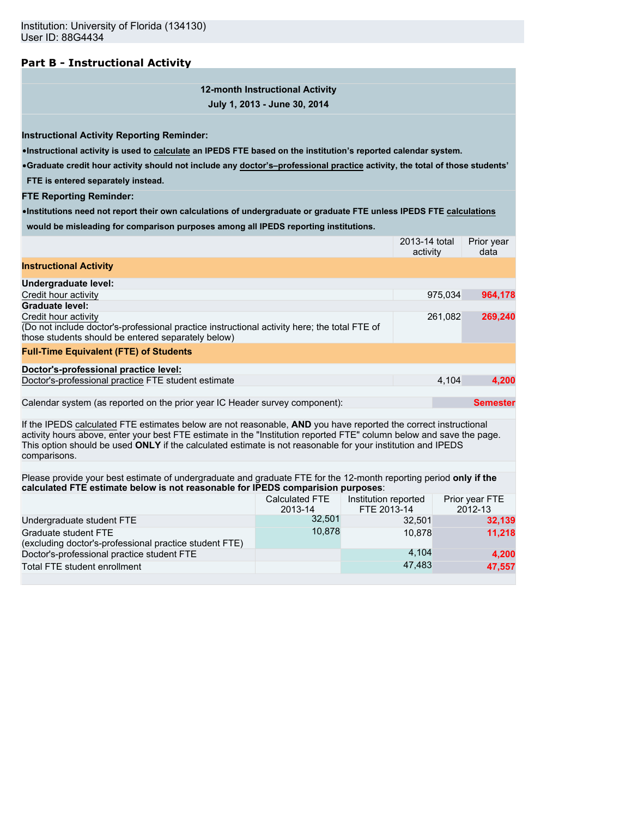# **Part B - Instructional Activity**

**12-month Instructional Activity July 1, 2013 - June 30, 2014**

**Instructional Activity Reporting Reminder:**

•**Instructional activity is used to calculate an IPEDS FTE based on the institution's reported calendar system.**

•**Graduate credit hour activity should not include any doctor's–professional practice activity, the total of those students'**

**FTE is entered separately instead.**

**FTE Reporting Reminder:**

•**Institutions need not report their own calculations of undergraduate or graduate FTE unless IPEDS FTE calculations would be misleading for comparison purposes among all IPEDS reporting institutions.**

|                                                                                                                                                                                                                                                                                                                                                                        |                                  |                                     | 2013-14 total<br>activity | Prior year<br>data        |
|------------------------------------------------------------------------------------------------------------------------------------------------------------------------------------------------------------------------------------------------------------------------------------------------------------------------------------------------------------------------|----------------------------------|-------------------------------------|---------------------------|---------------------------|
| <b>Instructional Activity</b>                                                                                                                                                                                                                                                                                                                                          |                                  |                                     |                           |                           |
| Undergraduate level:                                                                                                                                                                                                                                                                                                                                                   |                                  |                                     |                           |                           |
| Credit hour activity                                                                                                                                                                                                                                                                                                                                                   |                                  |                                     | 975,034                   | 964,178                   |
| <b>Graduate level:</b>                                                                                                                                                                                                                                                                                                                                                 |                                  |                                     |                           |                           |
| Credit hour activity<br>(Do not include doctor's-professional practice instructional activity here; the total FTE of<br>those students should be entered separately below)                                                                                                                                                                                             |                                  |                                     | 261,082                   | 269,240                   |
| <b>Full-Time Equivalent (FTE) of Students</b>                                                                                                                                                                                                                                                                                                                          |                                  |                                     |                           |                           |
| Doctor's-professional practice level:                                                                                                                                                                                                                                                                                                                                  |                                  |                                     |                           |                           |
| Doctor's-professional practice FTE student estimate                                                                                                                                                                                                                                                                                                                    |                                  |                                     | 4.104                     | 4,200                     |
| Calendar system (as reported on the prior year IC Header survey component):                                                                                                                                                                                                                                                                                            |                                  |                                     |                           | <b>Semester</b>           |
| If the IPEDS calculated FTE estimates below are not reasonable, AND you have reported the correct instructional<br>activity hours above, enter your best FTE estimate in the "Institution reported FTE" column below and save the page.<br>This option should be used ONLY if the calculated estimate is not reasonable for your institution and IPEDS<br>comparisons. |                                  |                                     |                           |                           |
|                                                                                                                                                                                                                                                                                                                                                                        |                                  |                                     |                           |                           |
| Please provide your best estimate of undergraduate and graduate FTE for the 12-month reporting period only if the<br>calculated FTE estimate below is not reasonable for IPEDS comparision purposes:                                                                                                                                                                   |                                  |                                     |                           |                           |
|                                                                                                                                                                                                                                                                                                                                                                        | <b>Calculated FTE</b><br>2013-14 | Institution reported<br>FTE 2013-14 |                           | Prior year FTE<br>2012-13 |
| Undergraduate student FTE                                                                                                                                                                                                                                                                                                                                              | 32,501                           |                                     | 32,501                    | 32,139                    |
| Graduate student FTE<br>(excluding doctor's-professional practice student FTE)                                                                                                                                                                                                                                                                                         | 10,878                           |                                     | 10.878                    | 11,218                    |
| Doctor's-professional practice student FTE                                                                                                                                                                                                                                                                                                                             |                                  |                                     | 4,104                     | 4,200                     |
| Total FTE student enrollment                                                                                                                                                                                                                                                                                                                                           |                                  |                                     | 47,483                    | 47,557                    |
|                                                                                                                                                                                                                                                                                                                                                                        |                                  |                                     |                           |                           |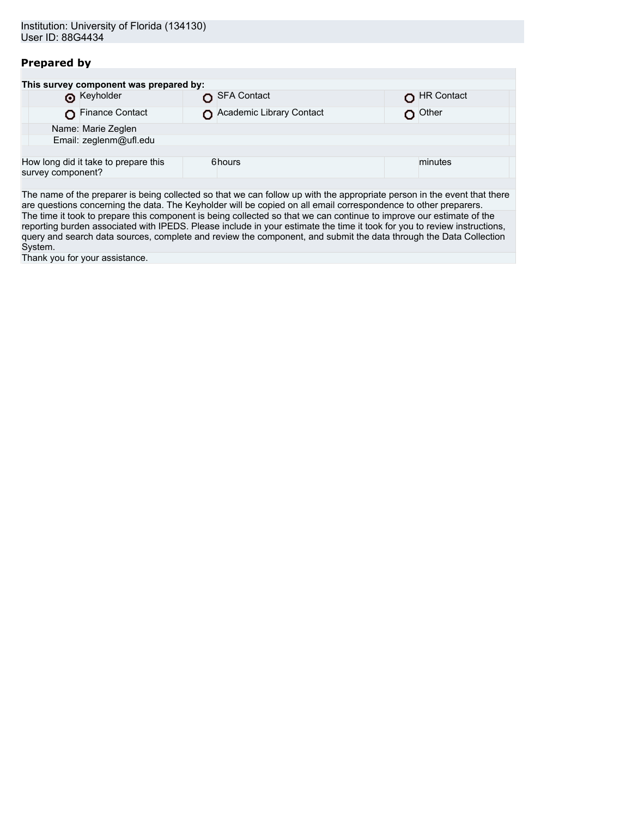# **Prepared by**

| This survey component was prepared by:                    |                          |                   |
|-----------------------------------------------------------|--------------------------|-------------------|
| <b>O</b> Keyholder                                        | SFA Contact              | <b>HR Contact</b> |
| Finance Contact                                           | Academic Library Contact | Other             |
| Name: Marie Zeglen                                        |                          |                   |
| Email: zeglenm@ufl.edu                                    |                          |                   |
|                                                           |                          |                   |
| How long did it take to prepare this<br>survey component? | 6hours                   | minutes           |
|                                                           |                          |                   |

The name of the preparer is being collected so that we can follow up with the appropriate person in the event that there are questions concerning the data. The Keyholder will be copied on all email correspondence to other preparers. The time it took to prepare this component is being collected so that we can continue to improve our estimate of the reporting burden associated with IPEDS. Please include in your estimate the time it took for you to review instructions, query and search data sources, complete and review the component, and submit the data through the Data Collection System.

Thank you for your assistance.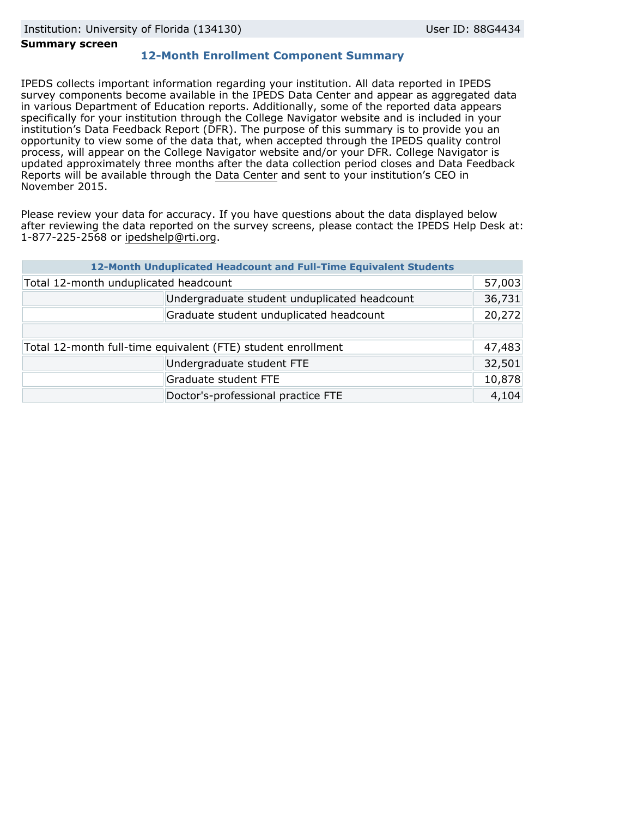#### **Summary screen**

# **12-Month Enrollment Component Summary**

IPEDS collects important information regarding your institution. All data reported in IPEDS survey components become available in the IPEDS Data Center and appear as aggregated data in various Department of Education reports. Additionally, some of the reported data appears specifically for your institution through the College Navigator website and is included in your institution's Data Feedback Report (DFR). The purpose of this summary is to provide you an opportunity to view some of the data that, when accepted through the IPEDS quality control process, will appear on the College Navigator website and/or your DFR. College Navigator is updated approximately three months after the data collection period closes and Data Feedback Reports will be available through the [Data Center](http://nces.ed.gov/ipeds/datacenter/) and sent to your institution's CEO in November 2015.

Please review your data for accuracy. If you have questions about the data displayed below after reviewing the data reported on the survey screens, please contact the IPEDS Help Desk at: 1-877-225-2568 or ipedshelp@rti.org.

|                                                              | 12-Month Unduplicated Headcount and Full-Time Equivalent Students |        |
|--------------------------------------------------------------|-------------------------------------------------------------------|--------|
| Total 12-month unduplicated headcount                        |                                                                   | 57,003 |
|                                                              | Undergraduate student unduplicated headcount                      | 36,731 |
|                                                              | Graduate student unduplicated headcount                           | 20,272 |
|                                                              |                                                                   |        |
| Total 12-month full-time equivalent (FTE) student enrollment |                                                                   | 47,483 |
|                                                              | Undergraduate student FTE                                         | 32,501 |
|                                                              | Graduate student FTE                                              | 10,878 |
|                                                              | Doctor's-professional practice FTE                                | 4,104  |